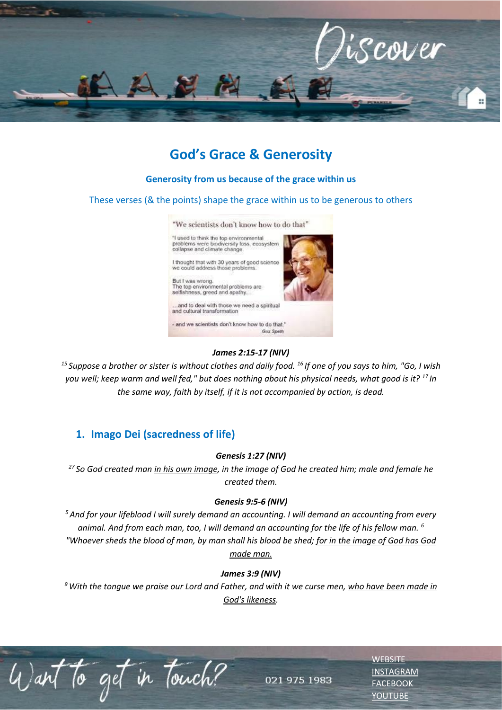

# **God's Grace & Generosity**

#### **Generosity from us because of the grace within us**

These verses (& the points) shape the grace within us to be generous to others

"We scientists don't know how to do that"

"I used to think the top environmental<br>problems were biodiversity loss, ecosystem<br>collapse and climate change.

I thought that with 30 years of good science<br>we could address those problems. But I was wrong.<br>The top environmental problems are

selfishness, greed and apathy.

..and to deal with those we need a spiritual and cultural transformation

- and we scientists don't know how to do that."



#### *James 2:15-17 (NIV)*

*<sup>15</sup>Suppose a brother or sister is without clothes and daily food. <sup>16</sup>If one of you says to him, "Go, I wish you well; keep warm and well fed," but does nothing about his physical needs, what good is it? <sup>17</sup>In the same way, faith by itself, if it is not accompanied by action, is dead.*

## **1. Imago Dei (sacredness of life)**

#### *Genesis 1:27 (NIV)*

*<sup>27</sup>So God created man in his own image, in the image of God he created him; male and female he created them.*

#### *Genesis 9:5-6 (NIV)*

*<sup>5</sup>And for your lifeblood I will surely demand an accounting. I will demand an accounting from every animal. And from each man, too, I will demand an accounting for the life of his fellow man. <sup>6</sup> "Whoever sheds the blood of man, by man shall his blood be shed; for in the image of God has God made man.*

#### *James 3:9 (NIV)*

*<sup>9</sup>With the tongue we praise our Lord and Father, and with it we curse men, who have been made in God's likeness.* 

Want to get in Touch?

021 975 1983

**[WEBSITE](http://www.escc.co.za/)** [INSTAGRAM](https://www.instagram.com/esccdurbanville/) [FACEBOOK](https://www.facebook.com/escc.za) [YOUTUBE](https://www.youtube.com/c/ESCCDurbanvilleV)